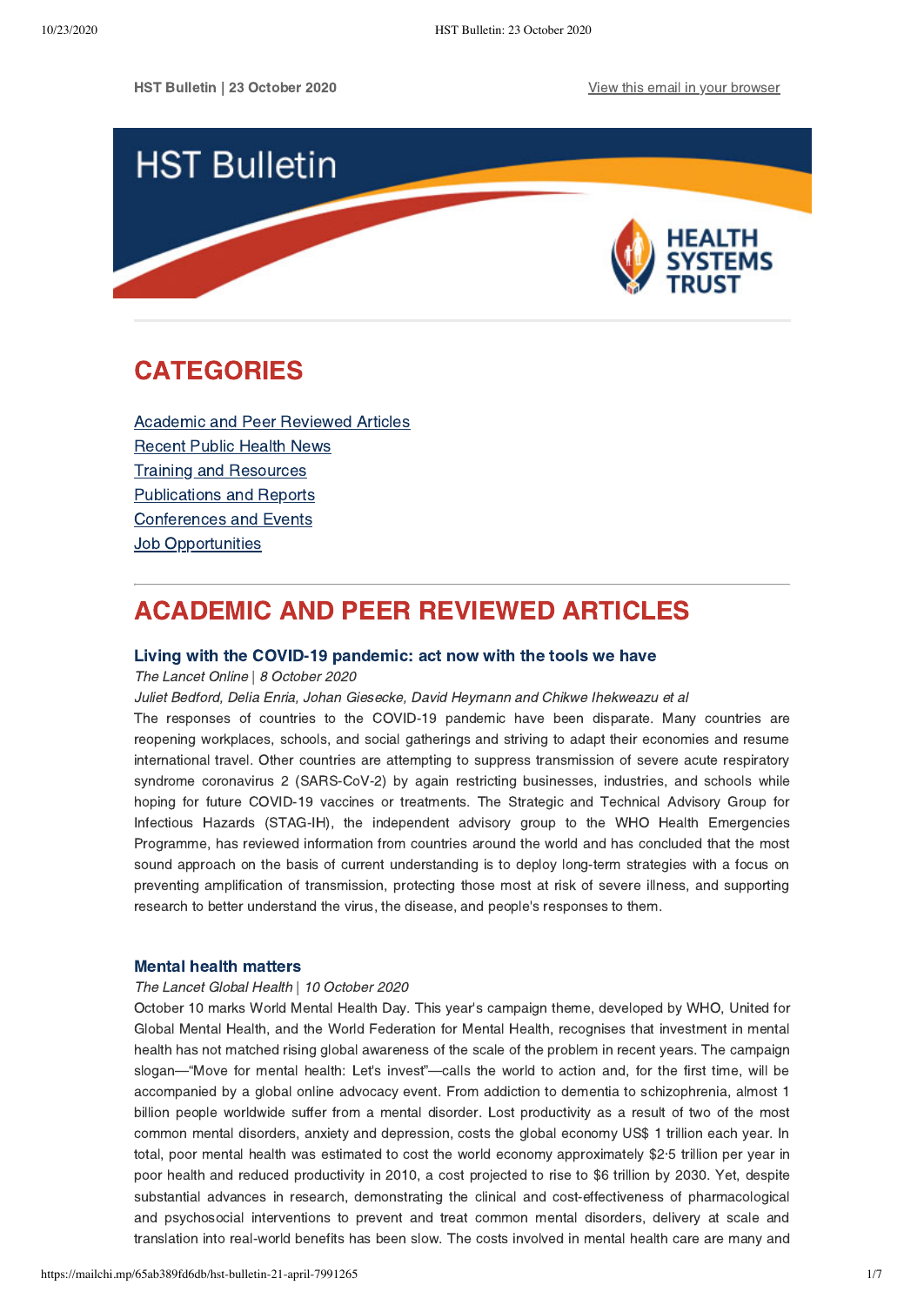HST Bulletin | 23 October 2020 [View this email in your browser](https://mailchi.mp/65ab389fd6db/hst-bulletin-21-april-7991265?e=[UNIQID])



# <span id="page-0-1"></span>CATEGORIES

[Academic and Peer Reviewed Articles](#page-0-0) [Recent Public Health News](#page-1-0) Training and Resources [Publications and Reports](#page-4-0) [Conferences and Events](#page-4-1) **Job Opportunities** 

# <span id="page-0-0"></span>ACADEMIC AND PEER REVIEWED ARTICLES

### [Living with the COVID-19 pandemic: act now with the tools we have](https://www.thelancet.com/journals/lancet/article/PIIS0140-6736(20)32117-6/fulltext)

### The Lancet Online | 8 October 2020

Juliet Bedford, Delia Enria, Johan Giesecke, David Heymann and Chikwe Ihekweazu et al

The responses of countries to the COVID-19 pandemic have been disparate. Many countries are reopening workplaces, schools, and social gatherings and striving to adapt their economies and resume international travel. Other countries are attempting to suppress transmission of severe acute respiratory syndrome coronavirus 2 (SARS-CoV-2) by again restricting businesses, industries, and schools while hoping for future COVID-19 vaccines or treatments. The Strategic and Technical Advisory Group for Infectious Hazards (STAG-IH), the independent advisory group to the WHO Health Emergencies Programme, has reviewed information from countries around the world and has concluded that the most sound approach on the basis of current understanding is to deploy long-term strategies with a focus on preventing amplification of transmission, protecting those most at risk of severe illness, and supporting research to better understand the virus, the disease, and people's responses to them.

## [Mental health matters](https://www.thelancet.com/journals/langlo/article/PIIS2214-109X(20)30432-0/fulltext)

### The Lancet Global Health | 10 October 2020

October 10 marks World Mental Health Day. This year's campaign theme, developed by WHO, United for Global Mental Health, and the World Federation for Mental Health, recognises that investment in mental health has not matched rising global awareness of the scale of the problem in recent years. The campaign slogan—"Move for mental health: Let's invest"—calls the world to action and, for the first time, will be accompanied by a global online advocacy event. From addiction to dementia to schizophrenia, almost 1 billion people worldwide suffer from a mental disorder. Lost productivity as a result of two of the most common mental disorders, anxiety and depression, costs the global economy US\$ 1 trillion each year. In total, poor mental health was estimated to cost the world economy approximately \$2·5 trillion per year in poor health and reduced productivity in 2010, a cost projected to rise to \$6 trillion by 2030. Yet, despite substantial advances in research, demonstrating the clinical and cost-effectiveness of pharmacological and psychosocial interventions to prevent and treat common mental disorders, delivery at scale and translation into real-world benefits has been slow. The costs involved in mental health care are many and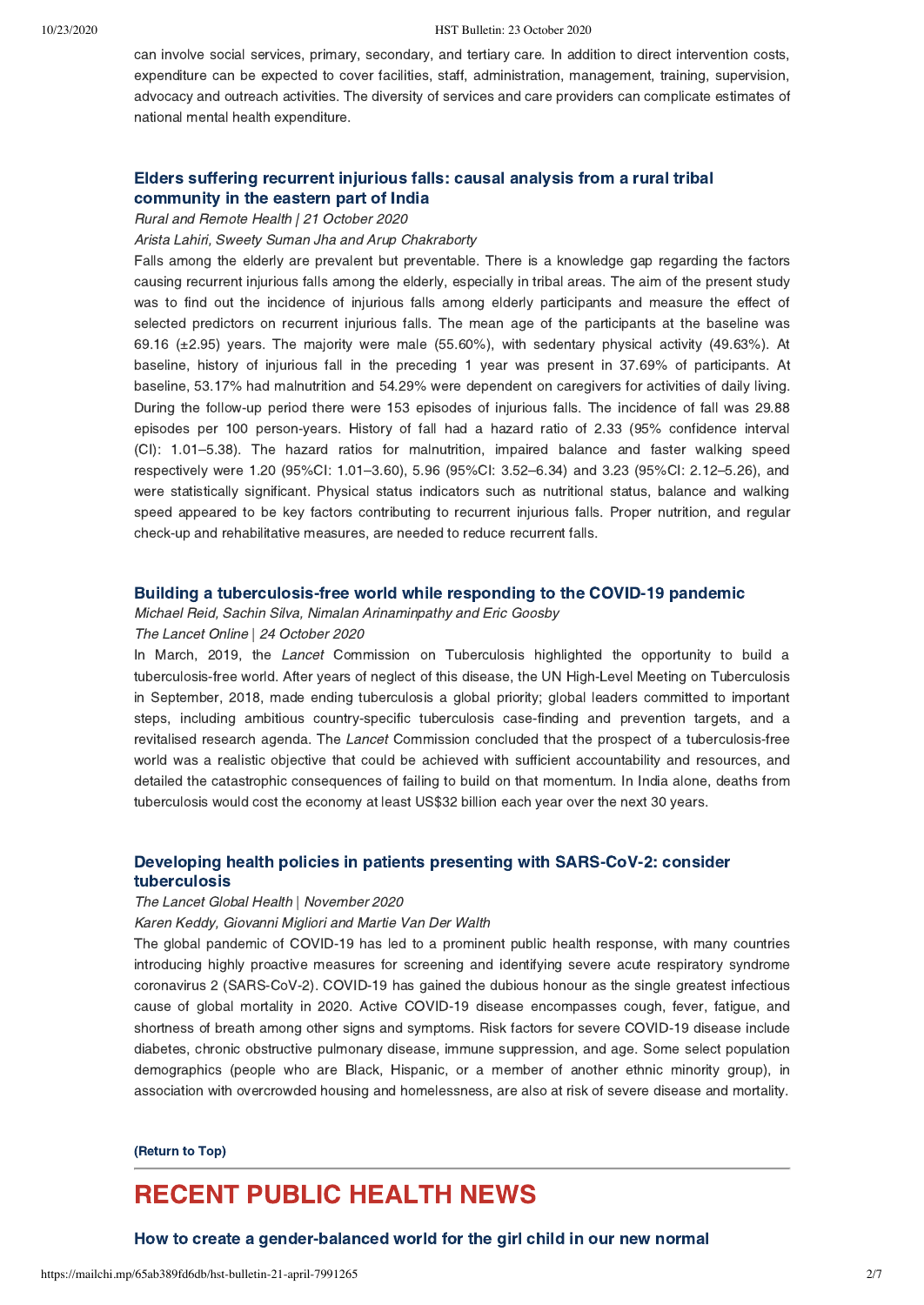can involve social services, primary, secondary, and tertiary care. In addition to direct intervention costs, expenditure can be expected to cover facilities, staff, administration, management, training, supervision, advocacy and outreach activities. The diversity of services and care providers can complicate estimates of national mental health expenditure.

# [Elders suffering recurrent injurious falls: causal analysis from a rural tribal](https://www.rrh.org.au/journal/article/6042) community in the eastern part of India

Rural and Remote Health | 21 October 2020

Arista Lahiri, Sweety Suman Jha and Arup Chakraborty

Falls among the elderly are prevalent but preventable. There is a knowledge gap regarding the factors causing recurrent injurious falls among the elderly, especially in tribal areas. The aim of the present study was to find out the incidence of injurious falls among elderly participants and measure the effect of selected predictors on recurrent injurious falls. The mean age of the participants at the baseline was 69.16  $(\pm 2.95)$  years. The majority were male (55.60%), with sedentary physical activity (49.63%). At baseline, history of injurious fall in the preceding 1 year was present in 37.69% of participants. At baseline, 53.17% had malnutrition and 54.29% were dependent on caregivers for activities of daily living. During the follow-up period there were 153 episodes of injurious falls. The incidence of fall was 29.88 episodes per 100 person-years. History of fall had a hazard ratio of 2.33 (95% confidence interval (CI): 1.01–5.38). The hazard ratios for malnutrition, impaired balance and faster walking speed respectively were 1.20 (95%CI: 1.01–3.60), 5.96 (95%CI: 3.52–6.34) and 3.23 (95%CI: 2.12–5.26), and were statistically significant. Physical status indicators such as nutritional status, balance and walking speed appeared to be key factors contributing to recurrent injurious falls. Proper nutrition, and regular check-up and rehabilitative measures, are needed to reduce recurrent falls.

## [Building a tuberculosis-free world while responding to the COVID-19 pandemic](https://www.thelancet.com/journals/lancet/article/PIIS0140-6736(20)32138-3/fulltext)

Michael Reid, Sachin Silva, Nimalan Arinaminpathy and Eric Goosby

## The Lancet Online | 24 October 2020

In March, 2019, the *Lancet* Commission on Tuberculosis highlighted the opportunity to build a tuberculosis-free world. After years of neglect of this disease, the UN High-Level Meeting on Tuberculosis in September, 2018, made ending tuberculosis a global priority; global leaders committed to important steps, including ambitious country-specific tuberculosis case-finding and prevention targets, and a revitalised research agenda. The Lancet Commission concluded that the prospect of a tuberculosis-free world was a realistic objective that could be achieved with sufficient accountability and resources, and detailed the catastrophic consequences of failing to build on that momentum. In India alone, deaths from tuberculosis would cost the economy at least US\$32 billion each year over the next 30 years.

## [Developing health policies in patients presenting with SARS-CoV-2: consider](https://www.thelancet.com/journals/langlo/article/PIIS2214-109X(20)30413-7/fulltext) tuberculosis

#### The Lancet Global Health | November 2020

Karen Keddy, Giovanni Migliori and Martie Van Der Walth

The global pandemic of COVID-19 has led to a prominent public health response, with many countries introducing highly proactive measures for screening and identifying severe acute respiratory syndrome coronavirus 2 (SARS-CoV-2). COVID-19 has gained the dubious honour as the single greatest infectious cause of global mortality in 2020. Active COVID-19 disease encompasses cough, fever, fatigue, and shortness of breath among other signs and symptoms. Risk factors for severe COVID-19 disease include diabetes, chronic obstructive pulmonary disease, immune suppression, and age. Some select population demographics (people who are Black, Hispanic, or a member of another ethnic minority group), in association with overcrowded housing and homelessness, are also at risk of severe disease and mortality.

#### [\(Return to Top\)](#page-0-1)

# <span id="page-1-0"></span>RECENT PUBLIC HEALTH NEWS

[How to create a gender-balanced world for the girl child in our new normal](https://health-e.org.za/2020/10/12/international-day-of-the-girl-child/)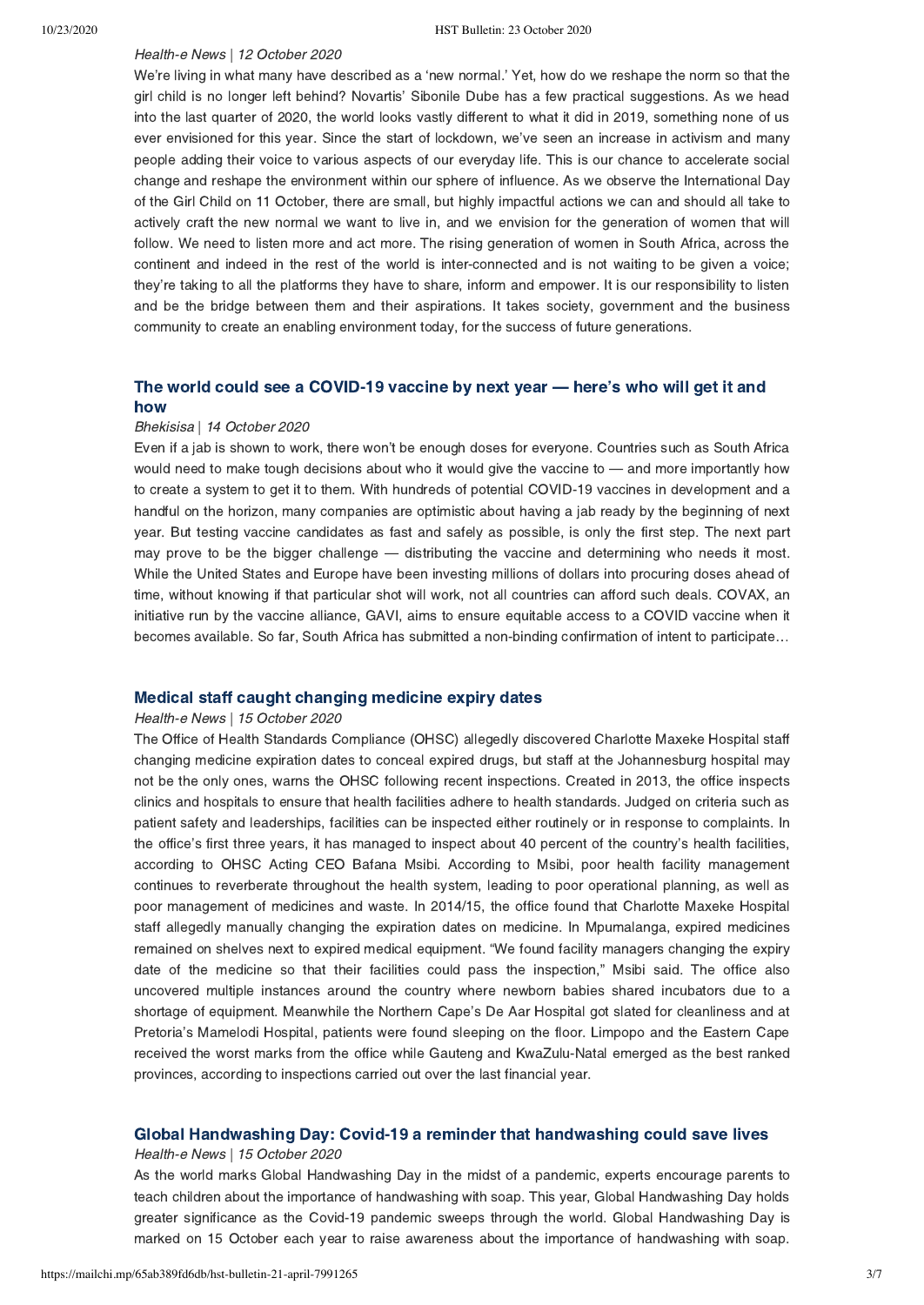# Health-e News | 12 October 2020

We're living in what many have described as a 'new normal.' Yet, how do we reshape the norm so that the girl child is no longer left behind? Novartis' Sibonile Dube has a few practical suggestions. As we head into the last quarter of 2020, the world looks vastly different to what it did in 2019, something none of us ever envisioned for this year. Since the start of lockdown, we've seen an increase in activism and many people adding their voice to various aspects of our everyday life. This is our chance to accelerate social change and reshape the environment within our sphere of influence. As we observe the International Day of the Girl Child on 11 October, there are small, but highly impactful actions we can and should all take to actively craft the new normal we want to live in, and we envision for the generation of women that will follow. We need to listen more and act more. The rising generation of women in South Africa, across the continent and indeed in the rest of the world is inter-connected and is not waiting to be given a voice; they're taking to all the platforms they have to share, inform and empower. It is our responsibility to listen and be the bridge between them and their aspirations. It takes society, government and the business community to create an enabling environment today, for the success of future generations.

## [The world could see a COVID-19 vaccine by next year — here's who will get it and](https://bhekisisa.org/health-news-south-africa/2020-10-14-the-world-could-see-a-covid-19-vaccine-by-next-year-heres-who-will-get-it-and-how/) how

### Bhekisisa | 14 October 2020

Even if a jab is shown to work, there won't be enough doses for everyone. Countries such as South Africa would need to make tough decisions about who it would give the vaccine to — and more importantly how to create a system to get it to them. With hundreds of potential COVID-19 vaccines in development and a handful on the horizon, many companies are optimistic about having a jab ready by the beginning of next year. But testing vaccine candidates as fast and safely as possible, is only the first step. The next part may prove to be the bigger challenge — distributing the vaccine and determining who needs it most. While the United States and Europe have been investing millions of dollars into procuring doses ahead of time, without knowing if that particular shot will work, not all countries can afford such deals. COVAX, an initiative run by the vaccine alliance, GAVI, aims to ensure equitable access to a COVID vaccine when it becomes available. So far, South Africa has submitted a non-binding confirmation of intent to participate…

## [Medical staff caught changing medicine expiry dates](https://health-e.org.za/2016/04/15/medical-staff-caught-changing-medicine-expiry-dates/)

#### Health-e News | 15 October 2020

The Office of Health Standards Compliance (OHSC) allegedly discovered Charlotte Maxeke Hospital staff changing medicine expiration dates to conceal expired drugs, but staff at the Johannesburg hospital may not be the only ones, warns the OHSC following recent inspections. Created in 2013, the office inspects clinics and hospitals to ensure that health facilities adhere to health standards. Judged on criteria such as patient safety and leaderships, facilities can be inspected either routinely or in response to complaints. In the office's first three years, it has managed to inspect about 40 percent of the country's health facilities, according to OHSC Acting CEO Bafana Msibi. According to Msibi, poor health facility management continues to reverberate throughout the health system, leading to poor operational planning, as well as poor management of medicines and waste. In 2014/15, the office found that Charlotte Maxeke Hospital staff allegedly manually changing the expiration dates on medicine. In Mpumalanga, expired medicines remained on shelves next to expired medical equipment. "We found facility managers changing the expiry date of the medicine so that their facilities could pass the inspection," Msibi said. The office also uncovered multiple instances around the country where newborn babies shared incubators due to a shortage of equipment. Meanwhile the Northern Cape's De Aar Hospital got slated for cleanliness and at Pretoria's Mamelodi Hospital, patients were found sleeping on the floor. Limpopo and the Eastern Cape received the worst marks from the office while Gauteng and KwaZulu-Natal emerged as the best ranked provinces, according to inspections carried out over the last financial year.

### [Global Handwashing Day: Covid-19 a reminder that handwashing could save lives](https://health-e.org.za/2020/10/15/global-handwashing-day/)

#### Health-e News | 15 October 2020

As the world marks Global Handwashing Day in the midst of a pandemic, experts encourage parents to teach children about the importance of handwashing with soap. This year, Global Handwashing Day holds greater significance as the Covid-19 pandemic sweeps through the world. Global Handwashing Day is marked on 15 October each year to raise awareness about the importance of handwashing with soap.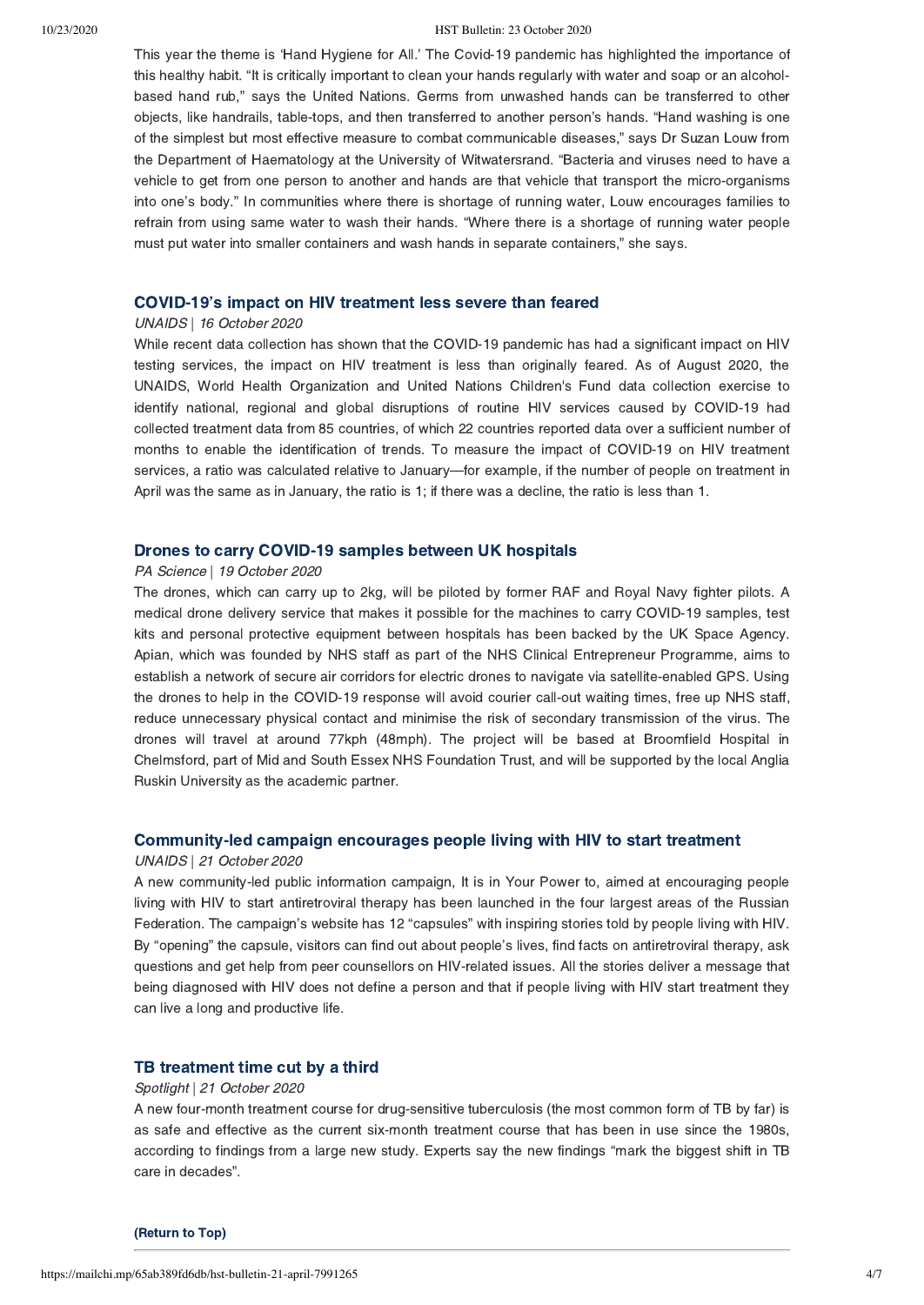#### 10/23/2020 HST Bulletin: 23 October 2020

This year the theme is 'Hand Hygiene for All.' The Covid-19 pandemic has highlighted the importance of this healthy habit. "It is critically important to clean your hands regularly with water and soap or an alcoholbased hand rub," says the United Nations. Germs from unwashed hands can be transferred to other objects, like handrails, table-tops, and then transferred to another person's hands. "Hand washing is one of the simplest but most effective measure to combat communicable diseases," says Dr Suzan Louw from the Department of Haematology at the University of Witwatersrand. "Bacteria and viruses need to have a vehicle to get from one person to another and hands are that vehicle that transport the micro-organisms into one's body." In communities where there is shortage of running water, Louw encourages families to refrain from using same water to wash their hands. "Where there is a shortage of running water people must put water into smaller containers and wash hands in separate containers," she says.

#### [COVID-19's impact on HIV treatment less severe than feared](https://www.unaids.org/en/resources/presscentre/featurestories/2020/october/20201016_covid-impact-on-hiv-treatment-less-severe-than-feared)

#### UNAIDS | 16 October 2020

While recent data collection has shown that the COVID-19 pandemic has had a significant impact on HIV testing services, the impact on HIV treatment is less than originally feared. As of August 2020, the UNAIDS, World Health Organization and United Nations Children's Fund data collection exercise to identify national, regional and global disruptions of routine HIV services caused by COVID-19 had collected treatment data from 85 countries, of which 22 countries reported data over a sufficient number of months to enable the identification of trends. To measure the impact of COVID-19 on HIV treatment services, a ratio was calculated relative to January—for example, if the number of people on treatment in April was the same as in January, the ratio is 1; if there was a decline, the ratio is less than 1.

## [Drones to carry COVID-19 samples between UK hospitals](https://www.sciencefocus.com/news/drones-to-carry-covid-19-samples-between-uk-hospitals/?utm_source=Adestra&utm_medium=Email&utm_content=FOC2&utm_campaign=Science%20Focus%20Newsletter_474117_Focus_Automated%20Newsletters_17941623)

#### PA Science | 19 October 2020

The drones, which can carry up to 2kg, will be piloted by former RAF and Royal Navy fighter pilots. A medical drone delivery service that makes it possible for the machines to carry COVID-19 samples, test kits and personal protective equipment between hospitals has been backed by the UK Space Agency. Apian, which was founded by NHS staff as part of the NHS Clinical Entrepreneur Programme, aims to establish a network of secure air corridors for electric drones to navigate via satellite-enabled GPS. Using the drones to help in the COVID-19 response will avoid courier call-out waiting times, free up NHS staff, reduce unnecessary physical contact and minimise the risk of secondary transmission of the virus. The drones will travel at around 77kph (48mph). The project will be based at Broomfield Hospital in Chelmsford, part of Mid and South Essex NHS Foundation Trust, and will be supported by the local Anglia Ruskin University as the academic partner.

## [Community-led campaign encourages people living with HIV to start treatment](https://www.unaids.org/en/resources/presscentre/featurestories/2020/october/20201021_vsilah)

#### UNAIDS | 21 October 2020

A new community-led public information campaign, It is in Your Power to, aimed at encouraging people living with HIV to start antiretroviral therapy has been launched in the four largest areas of the Russian Federation. The campaign's website has 12 "capsules" with inspiring stories told by people living with HIV. By "opening" the capsule, visitors can find out about people's lives, find facts on antiretroviral therapy, ask questions and get help from peer counsellors on HIV-related issues. All the stories deliver a message that being diagnosed with HIV does not define a person and that if people living with HIV start treatment they can live a long and productive life.

### [TB treatment time cut by a third](https://www.spotlightnsp.co.za/2020/10/21/tb-treatment-time-cut-by-a-third/)

### Spotlight | 21 October 2020

A new four-month treatment course for drug-sensitive tuberculosis (the most common form of TB by far) is as safe and effective as the current six-month treatment course that has been in use since the 1980s, according to findings from a large new study. Experts say the new findings "mark the biggest shift in TB care in decades".

[\(Return to Top\)](#page-0-1)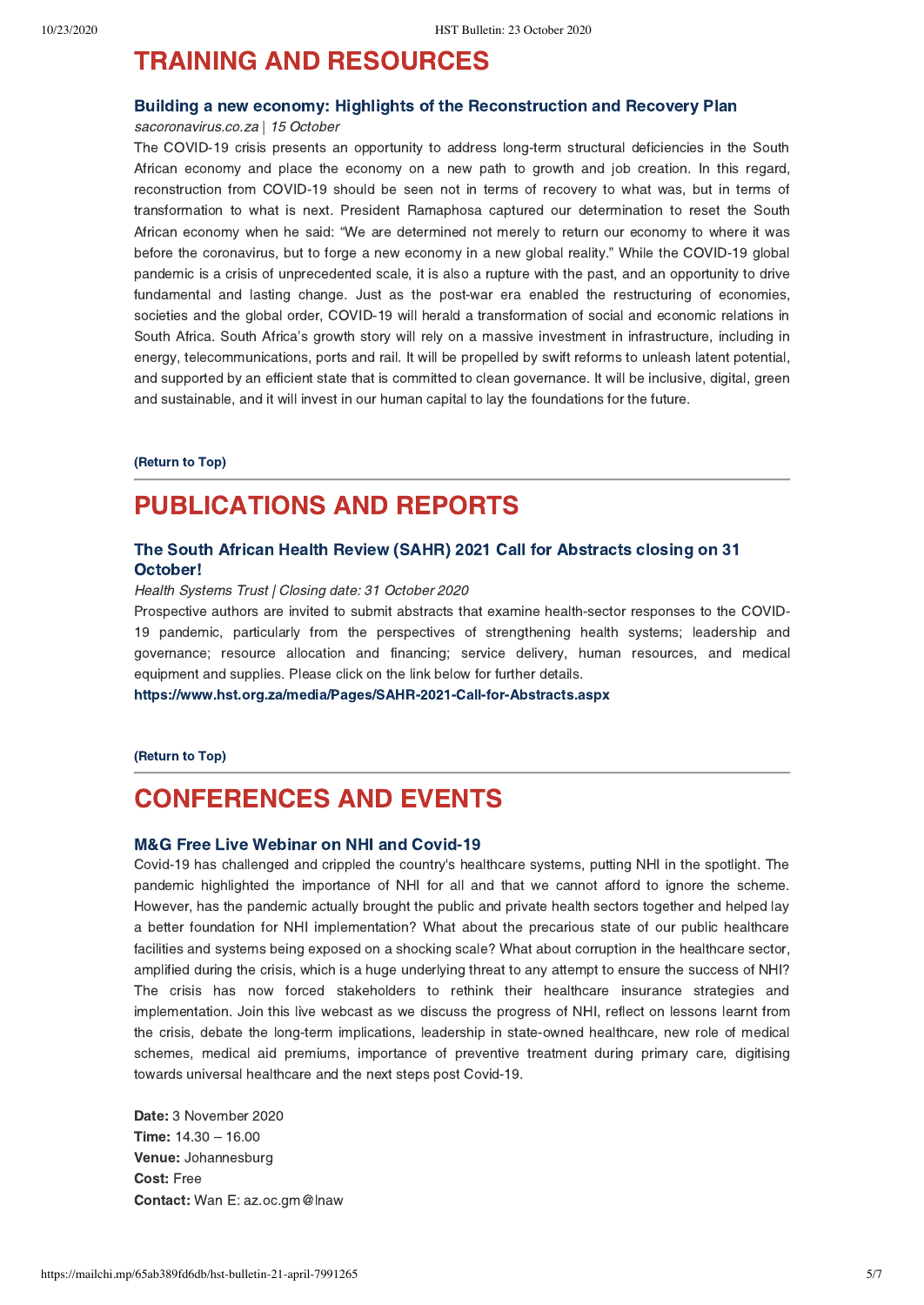# <span id="page-4-0"></span>TRAINING AND RESOURCES

# [Building a new economy: Highlights of the Reconstruction and Recovery Plan](https://sacoronavirus.co.za/wp-content/uploads/2020/10/building-economy.pdf)

sacoronavirus.co.za | 15 October

The COVID-19 crisis presents an opportunity to address long-term structural deficiencies in the South African economy and place the economy on a new path to growth and job creation. In this regard, reconstruction from COVID-19 should be seen not in terms of recovery to what was, but in terms of transformation to what is next. President Ramaphosa captured our determination to reset the South African economy when he said: "We are determined not merely to return our economy to where it was before the coronavirus, but to forge a new economy in a new global reality." While the COVID-19 global pandemic is a crisis of unprecedented scale, it is also a rupture with the past, and an opportunity to drive fundamental and lasting change. Just as the post-war era enabled the restructuring of economies, societies and the global order, COVID-19 will herald a transformation of social and economic relations in South Africa. South Africa's growth story will rely on a massive investment in infrastructure, including in energy, telecommunications, ports and rail. It will be propelled by swift reforms to unleash latent potential, and supported by an efficient state that is committed to clean governance. It will be inclusive, digital, green and sustainable, and it will invest in our human capital to lay the foundations for the future.

[\(Return to Top\)](#page-0-1)

# PUBLICATIONS AND REPORTS

# [The South African Health Review \(SAHR\) 2021 Call for Abstracts closing on 31](https://www.hst.org.za/media/Pages/SAHR-2021-Call-for-Abstracts.aspx) October!

#### Health Systems Trust | Closing date: 31 October 2020

Prospective authors are invited to submit abstracts that examine health-sector responses to the COVID-19 pandemic, particularly from the perspectives of strengthening health systems; leadership and governance; resource allocation and financing; service delivery, human resources, and medical equipment and supplies. Please click on the link below for further details.

<https://www.hst.org.za/media/Pages/SAHR-2021-Call-for-Abstracts.aspx>

[\(Return to Top\)](#page-0-1)

# <span id="page-4-1"></span>CONFERENCES AND EVENTS

## [M&G Free Live Webinar on NHI and Covid-19](https://www.bizcommunity.com/Event/196/320/71531.html)

Covid-19 has challenged and crippled the country's healthcare systems, putting NHI in the spotlight. The pandemic highlighted the importance of NHI for all and that we cannot afford to ignore the scheme. However, has the pandemic actually brought the public and private health sectors together and helped lay a better foundation for NHI implementation? What about the precarious state of our public healthcare facilities and systems being exposed on a shocking scale? What about corruption in the healthcare sector, amplified during the crisis, which is a huge underlying threat to any attempt to ensure the success of NHI? The crisis has now forced stakeholders to rethink their healthcare insurance strategies and implementation. Join this live webcast as we discuss the progress of NHI, reflect on lessons learnt from the crisis, debate the long-term implications, leadership in state-owned healthcare, new role of medical schemes, medical aid premiums, importance of preventive treatment during primary care, digitising towards universal healthcare and the next steps post Covid-19.

Date: 3 November 2020 Time: 14.30 – 16.00 Venue: Johannesburg Cost: Free Contact: Wan E: az.oc.gm@lnaw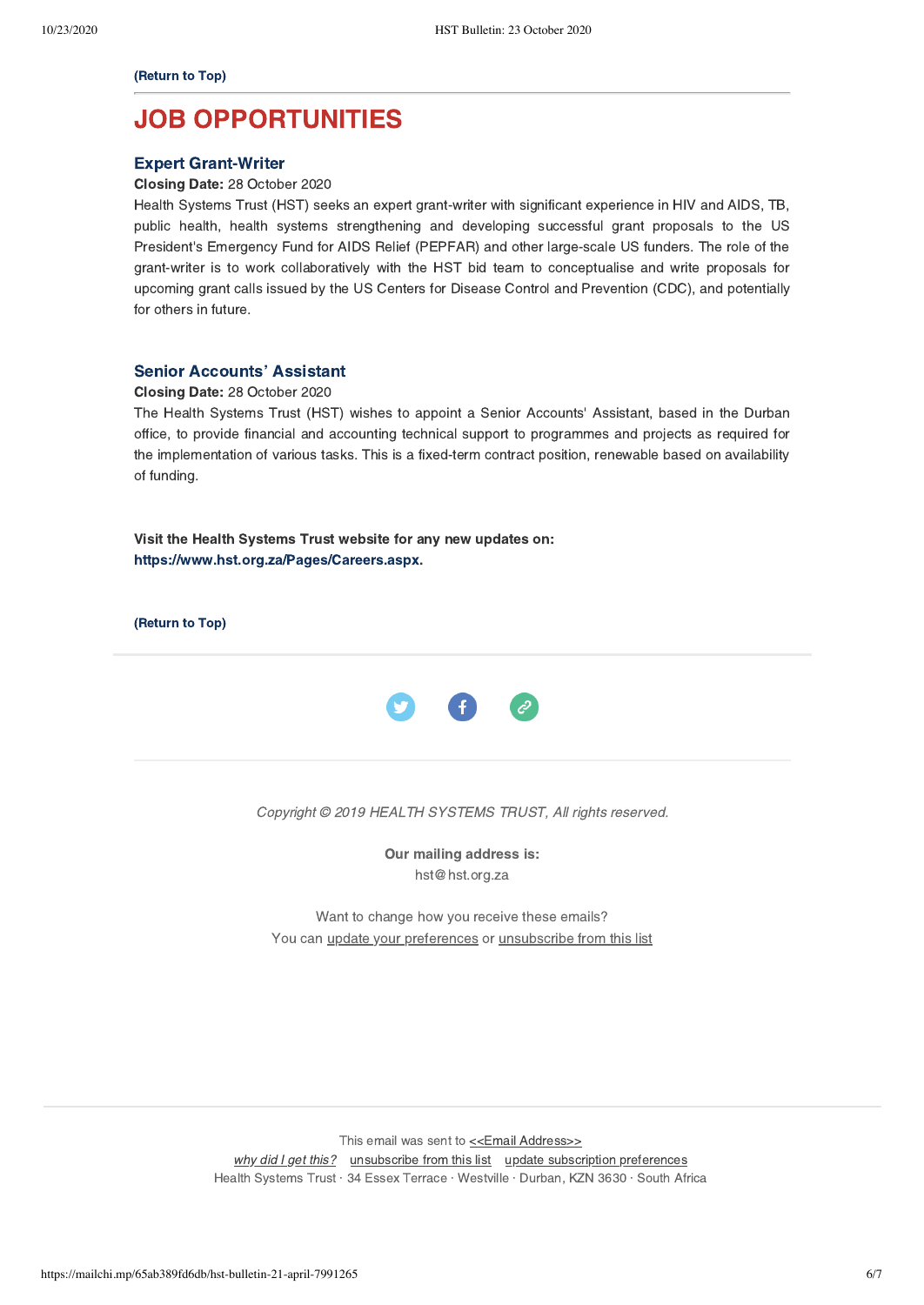[\(Return to Top\)](#page-0-1)

# JOB OPPORTUNITIES

## [Expert Grant-Writer](https://www.hst.org.za/Pages/Expert-Grant-Writer-Vacancy-.aspx)

Closing Date: 28 October 2020

Health Systems Trust (HST) seeks an expert grant-writer with significant experience in HIV and AIDS, TB, public health, health systems strengthening and developing successful grant proposals to the US President's Emergency Fund for AIDS Relief (PEPFAR) and other large-scale US funders. The role of the grant-writer is to work collaboratively with the HST bid team to conceptualise and write proposals for upcoming grant calls issued by the US Centers for Disease Control and Prevention (CDC), and potentially for others in future.

## [Senior Accounts' Assistant](https://www.hst.org.za/Pages/Senior-Accounts%E2%80%99-Assistant.aspx)

### Closing Date: 28 October 2020

The Health Systems Trust (HST) wishes to appoint a Senior Accounts' Assistant, based in the Durban office, to provide financial and accounting technical support to programmes and projects as required for the implementation of various tasks. This is a fixed-term contract position, renewable based on availability of funding.

Visit the Health Systems Trust website for any new updates on: <https://www.hst.org.za/Pages/Careers.aspx>.

[\(Return to Top\)](#page-0-1)



Copyright © 2019 HEALTH SYSTEMS TRUST, All rights reserved.

Our mailing address is: hst@hst.org.za

Want to change how you receive these emails? You can [update your preferences](https://hst.us14.list-manage.com/profile?u=72d7614ab973e486252cafb97&id=ac4ca52ce0&e=[UNIQID]) or [unsubscribe from this list](https://hst.us14.list-manage.com/unsubscribe?u=72d7614ab973e486252cafb97&id=ac4ca52ce0&e=[UNIQID]&c=0538d2ed9b)

This email was sent to << Email Address>>

[why did I get this?](https://hst.us14.list-manage.com/about?u=72d7614ab973e486252cafb97&id=ac4ca52ce0&e=[UNIQID]&c=0538d2ed9b) [unsubscribe from this list](https://hst.us14.list-manage.com/unsubscribe?u=72d7614ab973e486252cafb97&id=ac4ca52ce0&e=[UNIQID]&c=0538d2ed9b) [update subscription preferences](https://hst.us14.list-manage.com/profile?u=72d7614ab973e486252cafb97&id=ac4ca52ce0&e=[UNIQID]) Health Systems Trust · 34 Essex Terrace · Westville · Durban, KZN 3630 · South Africa